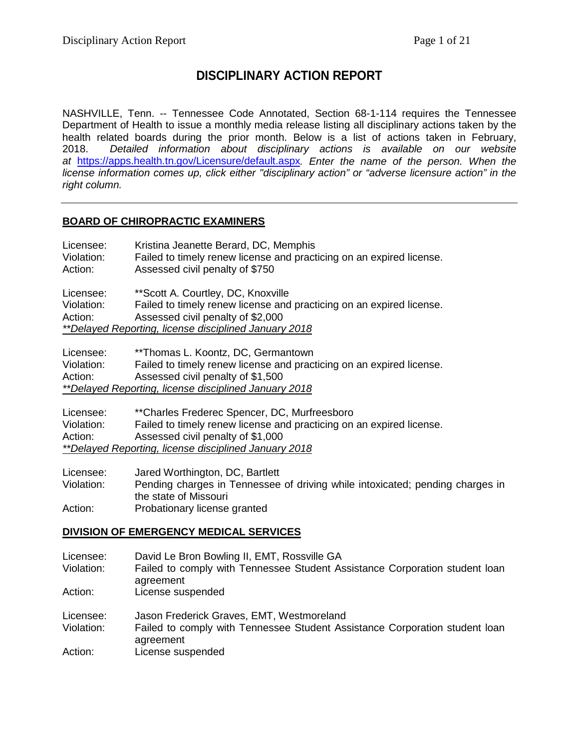# **DISCIPLINARY ACTION REPORT**

NASHVILLE, Tenn. -- Tennessee Code Annotated, Section 68-1-114 requires the Tennessee Department of Health to issue a monthly media release listing all disciplinary actions taken by the health related boards during the prior month. Below is a list of actions taken in February, 2018. *Detailed information about disciplinary actions is available on our website at* <https://apps.health.tn.gov/Licensure/default.aspx>*. Enter the name of the person. When the license information comes up, click either "disciplinary action" or "adverse licensure action" in the right column.*

# **BOARD OF CHIROPRACTIC EXAMINERS**

| Licensee:<br>Violation:<br>Action:                    | Kristina Jeanette Berard, DC, Memphis<br>Failed to timely renew license and practicing on an expired license.<br>Assessed civil penalty of \$750 |
|-------------------------------------------------------|--------------------------------------------------------------------------------------------------------------------------------------------------|
| Licensee:                                             | ** Scott A. Courtley, DC, Knoxville                                                                                                              |
| Violation:                                            | Failed to timely renew license and practicing on an expired license.                                                                             |
| Action:                                               | Assessed civil penalty of \$2,000                                                                                                                |
| **Delayed Reporting, license disciplined January 2018 |                                                                                                                                                  |
|                                                       |                                                                                                                                                  |

Licensee: \*\*Thomas L. Koontz, DC, Germantown<br>Violation: Failed to timely renew license and pract Failed to timely renew license and practicing on an expired license. Action: Assessed civil penalty of \$1,500 *\*\*Delayed Reporting, license disciplined January 2018*

Licensee: \*\*Charles Frederec Spencer, DC, Murfreesboro Violation: Failed to timely renew license and practicing on an expired license. Action: Assessed civil penalty of \$1,000 *\*\*Delayed Reporting, license disciplined January 2018*

Licensee: Jared Worthington, DC, Bartlett Pending charges in Tennessee of driving while intoxicated; pending charges in the state of Missouri Action: Probationary license granted

### **DIVISION OF EMERGENCY MEDICAL SERVICES**

| Licensee:<br>Violation:<br>Action: | David Le Bron Bowling II, EMT, Rossville GA<br>Failed to comply with Tennessee Student Assistance Corporation student loan<br>agreement<br>License suspended |
|------------------------------------|--------------------------------------------------------------------------------------------------------------------------------------------------------------|
| Licensee:<br>Violation:<br>Action: | Jason Frederick Graves, EMT, Westmoreland<br>Failed to comply with Tennessee Student Assistance Corporation student loan<br>agreement<br>License suspended   |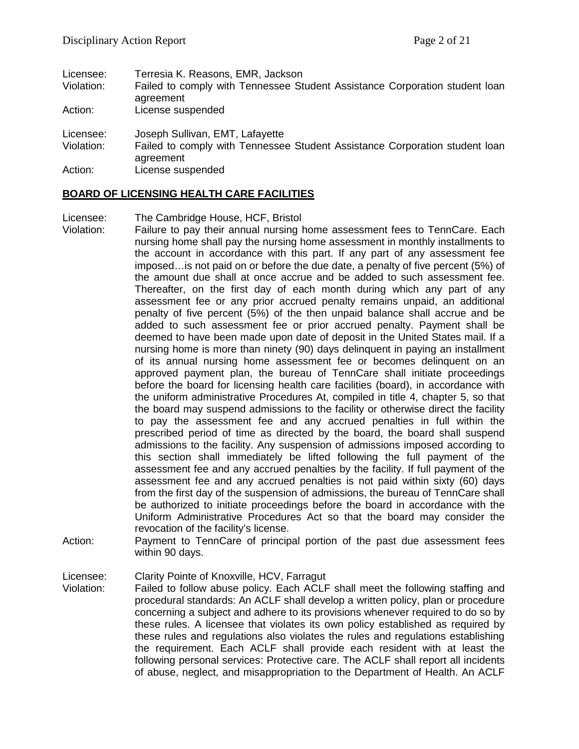| Licensee:<br>Violation: | Terresia K. Reasons, EMR, Jackson<br>Failed to comply with Tennessee Student Assistance Corporation student loan<br>agreement |
|-------------------------|-------------------------------------------------------------------------------------------------------------------------------|
| Action:                 | License suspended                                                                                                             |
| Licensee:<br>Violation: | Joseph Sullivan, EMT, Lafayette<br>Failed to comply with Tennessee Student Assistance Corporation student loan<br>agreement   |
| Action:                 | License suspended                                                                                                             |

### **BOARD OF LICENSING HEALTH CARE FACILITIES**

Licensee: The Cambridge House, HCF, Bristol

- Violation: Failure to pay their annual nursing home assessment fees to TennCare. Each nursing home shall pay the nursing home assessment in monthly installments to the account in accordance with this part. If any part of any assessment fee imposed…is not paid on or before the due date, a penalty of five percent (5%) of the amount due shall at once accrue and be added to such assessment fee. Thereafter, on the first day of each month during which any part of any assessment fee or any prior accrued penalty remains unpaid, an additional penalty of five percent (5%) of the then unpaid balance shall accrue and be added to such assessment fee or prior accrued penalty. Payment shall be deemed to have been made upon date of deposit in the United States mail. If a nursing home is more than ninety (90) days delinquent in paying an installment of its annual nursing home assessment fee or becomes delinquent on an approved payment plan, the bureau of TennCare shall initiate proceedings before the board for licensing health care facilities (board), in accordance with the uniform administrative Procedures At, compiled in title 4, chapter 5, so that the board may suspend admissions to the facility or otherwise direct the facility to pay the assessment fee and any accrued penalties in full within the prescribed period of time as directed by the board, the board shall suspend admissions to the facility. Any suspension of admissions imposed according to this section shall immediately be lifted following the full payment of the assessment fee and any accrued penalties by the facility. If full payment of the assessment fee and any accrued penalties is not paid within sixty (60) days from the first day of the suspension of admissions, the bureau of TennCare shall be authorized to initiate proceedings before the board in accordance with the Uniform Administrative Procedures Act so that the board may consider the revocation of the facility's license.
- Action: Payment to TennCare of principal portion of the past due assessment fees within 90 days.

Licensee: Clarity Pointe of Knoxville, HCV, Farragut

Violation: Failed to follow abuse policy. Each ACLF shall meet the following staffing and procedural standards: An ACLF shall develop a written policy, plan or procedure concerning a subject and adhere to its provisions whenever required to do so by these rules. A licensee that violates its own policy established as required by these rules and regulations also violates the rules and regulations establishing the requirement. Each ACLF shall provide each resident with at least the following personal services: Protective care. The ACLF shall report all incidents of abuse, neglect, and misappropriation to the Department of Health. An ACLF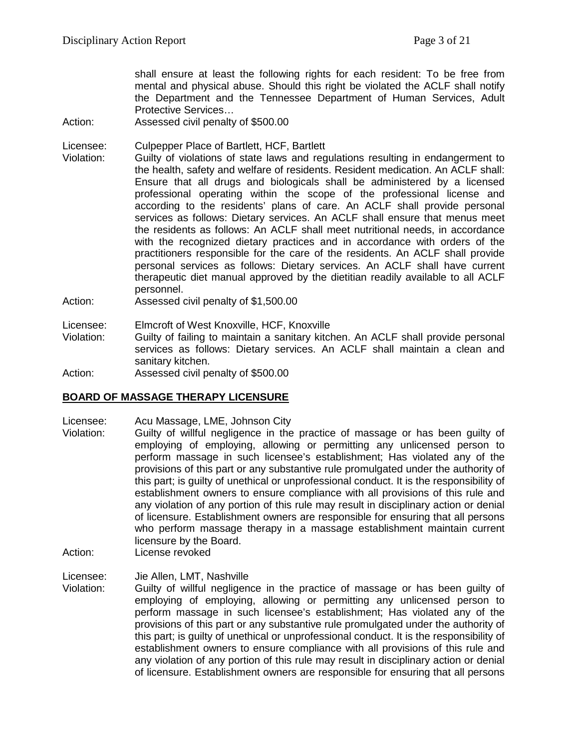shall ensure at least the following rights for each resident: To be free from mental and physical abuse. Should this right be violated the ACLF shall notify the Department and the Tennessee Department of Human Services, Adult Protective Services…

Action: Assessed civil penalty of \$500.00

Licensee: Culpepper Place of Bartlett, HCF, Bartlett

- Violation: Guilty of violations of state laws and regulations resulting in endangerment to the health, safety and welfare of residents. Resident medication. An ACLF shall: Ensure that all drugs and biologicals shall be administered by a licensed professional operating within the scope of the professional license and according to the residents' plans of care. An ACLF shall provide personal services as follows: Dietary services. An ACLF shall ensure that menus meet the residents as follows: An ACLF shall meet nutritional needs, in accordance with the recognized dietary practices and in accordance with orders of the practitioners responsible for the care of the residents. An ACLF shall provide personal services as follows: Dietary services. An ACLF shall have current therapeutic diet manual approved by the dietitian readily available to all ACLF personnel.
- Action: Assessed civil penalty of \$1,500.00
- Licensee: Elmcroft of West Knoxville, HCF, Knoxville
- Violation: Guilty of failing to maintain a sanitary kitchen. An ACLF shall provide personal services as follows: Dietary services. An ACLF shall maintain a clean and sanitary kitchen.
- Action: Assessed civil penalty of \$500.00

### **BOARD OF MASSAGE THERAPY LICENSURE**

- Licensee: Acu Massage, LME, Johnson City
- Violation: Guilty of willful negligence in the practice of massage or has been guilty of employing of employing, allowing or permitting any unlicensed person to perform massage in such licensee's establishment; Has violated any of the provisions of this part or any substantive rule promulgated under the authority of this part; is guilty of unethical or unprofessional conduct. It is the responsibility of establishment owners to ensure compliance with all provisions of this rule and any violation of any portion of this rule may result in disciplinary action or denial of licensure. Establishment owners are responsible for ensuring that all persons who perform massage therapy in a massage establishment maintain current licensure by the Board.
- Action: License revoked
- Licensee: Jie Allen, LMT, Nashville
- Violation: Guilty of willful negligence in the practice of massage or has been guilty of employing of employing, allowing or permitting any unlicensed person to perform massage in such licensee's establishment; Has violated any of the provisions of this part or any substantive rule promulgated under the authority of this part; is guilty of unethical or unprofessional conduct. It is the responsibility of establishment owners to ensure compliance with all provisions of this rule and any violation of any portion of this rule may result in disciplinary action or denial of licensure. Establishment owners are responsible for ensuring that all persons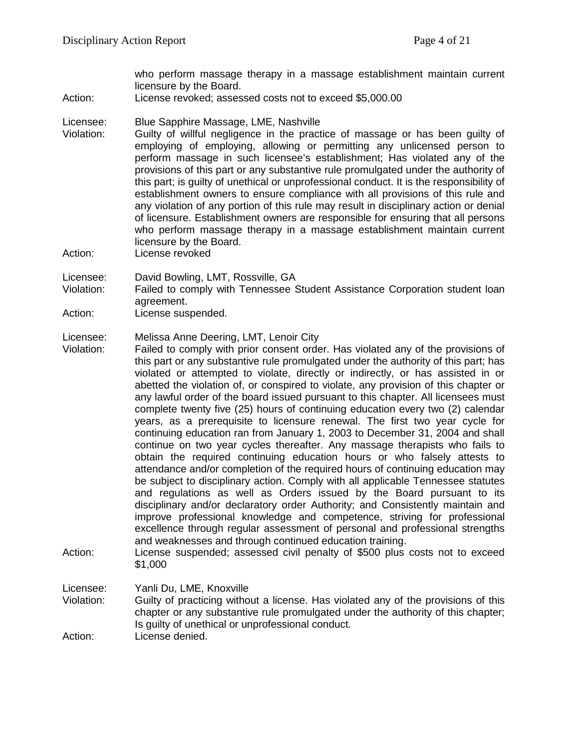who perform massage therapy in a massage establishment maintain current licensure by the Board.

Action: License revoked; assessed costs not to exceed \$5,000.00

#### Licensee: Blue Sapphire Massage, LME, Nashville

- Violation: Guilty of willful negligence in the practice of massage or has been guilty of employing of employing, allowing or permitting any unlicensed person to perform massage in such licensee's establishment; Has violated any of the provisions of this part or any substantive rule promulgated under the authority of this part; is guilty of unethical or unprofessional conduct. It is the responsibility of establishment owners to ensure compliance with all provisions of this rule and any violation of any portion of this rule may result in disciplinary action or denial of licensure. Establishment owners are responsible for ensuring that all persons who perform massage therapy in a massage establishment maintain current licensure by the Board.
- Action: License revoked

Licensee: David Bowling, LMT, Rossville, GA

- Violation: Failed to comply with Tennessee Student Assistance Corporation student loan agreement.
- Action: License suspended.

Licensee: Melissa Anne Deering, LMT, Lenoir City<br>Violation: Failed to comply with prior consent orde

- Failed to comply with prior consent order. Has violated any of the provisions of this part or any substantive rule promulgated under the authority of this part; has violated or attempted to violate, directly or indirectly, or has assisted in or abetted the violation of, or conspired to violate, any provision of this chapter or any lawful order of the board issued pursuant to this chapter. All licensees must complete twenty five (25) hours of continuing education every two (2) calendar years, as a prerequisite to licensure renewal. The first two year cycle for continuing education ran from January 1, 2003 to December 31, 2004 and shall continue on two year cycles thereafter. Any massage therapists who fails to obtain the required continuing education hours or who falsely attests to attendance and/or completion of the required hours of continuing education may be subject to disciplinary action. Comply with all applicable Tennessee statutes and regulations as well as Orders issued by the Board pursuant to its disciplinary and/or declaratory order Authority; and Consistently maintain and improve professional knowledge and competence, striving for professional excellence through regular assessment of personal and professional strengths and weaknesses and through continued education training.
- Action: License suspended; assessed civil penalty of \$500 plus costs not to exceed \$1,000

Licensee: Yanli Du, LME, Knoxville Violation: Guilty of practicing without a license. Has violated any of the provisions of this chapter or any substantive rule promulgated under the authority of this chapter; Is guilty of unethical or unprofessional conduct. Action: License denied.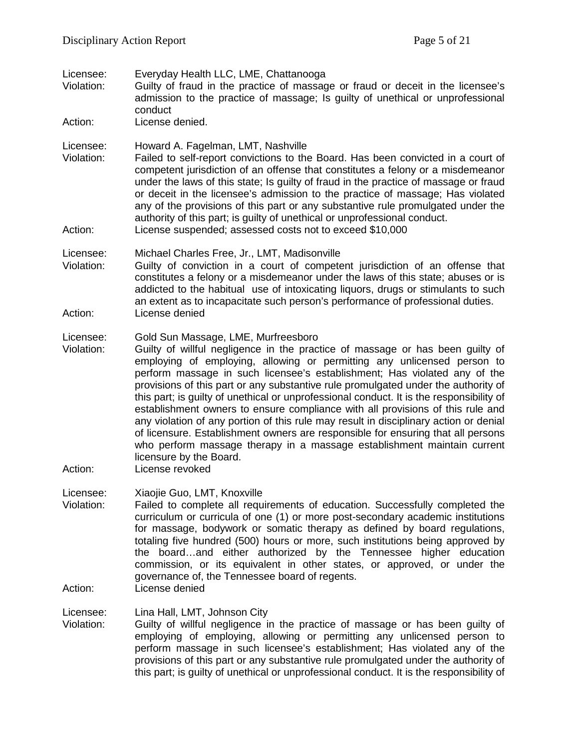Licensee: Everyday Health LLC, LME, Chattanooga<br>Violation: Guilty of fraud in the practice of massag Guilty of fraud in the practice of massage or fraud or deceit in the licensee's admission to the practice of massage; Is guilty of unethical or unprofessional conduct Action: License denied. Licensee: Howard A. Fagelman, LMT, Nashville Violation: Failed to self-report convictions to the Board. Has been convicted in a court of competent jurisdiction of an offense that constitutes a felony or a misdemeanor under the laws of this state; Is guilty of fraud in the practice of massage or fraud or deceit in the licensee's admission to the practice of massage; Has violated any of the provisions of this part or any substantive rule promulgated under the authority of this part; is guilty of unethical or unprofessional conduct. Action: License suspended; assessed costs not to exceed \$10,000 Licensee: Michael Charles Free, Jr., LMT, Madisonville Violation: Guilty of conviction in a court of competent jurisdiction of an offense that constitutes a felony or a misdemeanor under the laws of this state; abuses or is addicted to the habitual use of intoxicating liquors, drugs or stimulants to such an extent as to incapacitate such person's performance of professional duties. Action: License denied Licensee: Gold Sun Massage, LME, Murfreesboro<br>Violation: Guilty of willful negligence in the pract Guilty of willful negligence in the practice of massage or has been guilty of employing of employing, allowing or permitting any unlicensed person to perform massage in such licensee's establishment; Has violated any of the provisions of this part or any substantive rule promulgated under the authority of this part; is guilty of unethical or unprofessional conduct. It is the responsibility of establishment owners to ensure compliance with all provisions of this rule and any violation of any portion of this rule may result in disciplinary action or denial of licensure. Establishment owners are responsible for ensuring that all persons who perform massage therapy in a massage establishment maintain current licensure by the Board. Action: License revoked Licensee: Xiaojie Guo, LMT, Knoxville Violation: Failed to complete all requirements of education. Successfully completed the curriculum or curricula of one (1) or more post-secondary academic institutions for massage, bodywork or somatic therapy as defined by board regulations, totaling five hundred (500) hours or more, such institutions being approved by the board…and either authorized by the Tennessee higher education commission, or its equivalent in other states, or approved, or under the governance of, the Tennessee board of regents. Action: License denied

Licensee: Lina Hall, LMT, Johnson City

Violation: Guilty of willful negligence in the practice of massage or has been guilty of employing of employing, allowing or permitting any unlicensed person to perform massage in such licensee's establishment; Has violated any of the provisions of this part or any substantive rule promulgated under the authority of this part; is guilty of unethical or unprofessional conduct. It is the responsibility of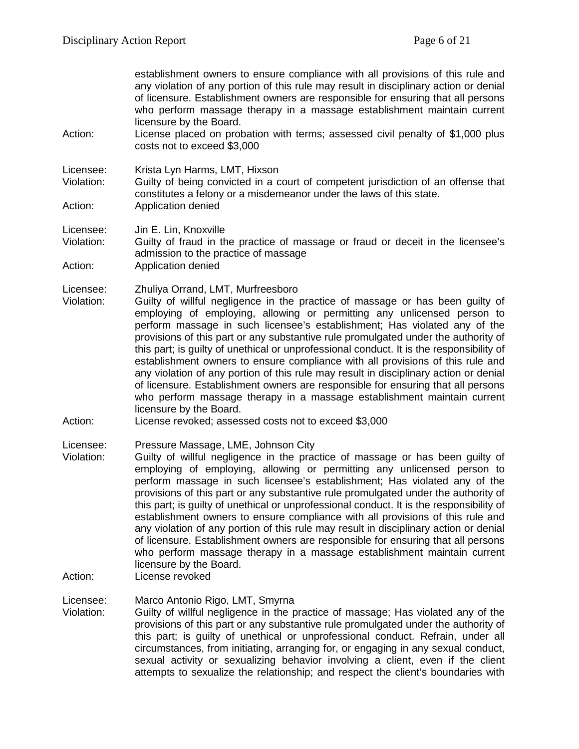| Action:                            | establishment owners to ensure compliance with all provisions of this rule and<br>any violation of any portion of this rule may result in disciplinary action or denial<br>of licensure. Establishment owners are responsible for ensuring that all persons<br>who perform massage therapy in a massage establishment maintain current<br>licensure by the Board.<br>License placed on probation with terms; assessed civil penalty of \$1,000 plus<br>costs not to exceed \$3,000                                                                                                                                                                                                                                                                                                                                                                                                         |
|------------------------------------|--------------------------------------------------------------------------------------------------------------------------------------------------------------------------------------------------------------------------------------------------------------------------------------------------------------------------------------------------------------------------------------------------------------------------------------------------------------------------------------------------------------------------------------------------------------------------------------------------------------------------------------------------------------------------------------------------------------------------------------------------------------------------------------------------------------------------------------------------------------------------------------------|
| Licensee:<br>Violation:<br>Action: | Krista Lyn Harms, LMT, Hixson<br>Guilty of being convicted in a court of competent jurisdiction of an offense that<br>constitutes a felony or a misdemeanor under the laws of this state.<br>Application denied                                                                                                                                                                                                                                                                                                                                                                                                                                                                                                                                                                                                                                                                            |
| Licensee:<br>Violation:<br>Action: | Jin E. Lin, Knoxville<br>Guilty of fraud in the practice of massage or fraud or deceit in the licensee's<br>admission to the practice of massage<br>Application denied                                                                                                                                                                                                                                                                                                                                                                                                                                                                                                                                                                                                                                                                                                                     |
| Licensee:<br>Violation:<br>Action: | Zhuliya Orrand, LMT, Murfreesboro<br>Guilty of willful negligence in the practice of massage or has been guilty of<br>employing of employing, allowing or permitting any unlicensed person to<br>perform massage in such licensee's establishment; Has violated any of the<br>provisions of this part or any substantive rule promulgated under the authority of<br>this part; is guilty of unethical or unprofessional conduct. It is the responsibility of<br>establishment owners to ensure compliance with all provisions of this rule and<br>any violation of any portion of this rule may result in disciplinary action or denial<br>of licensure. Establishment owners are responsible for ensuring that all persons<br>who perform massage therapy in a massage establishment maintain current<br>licensure by the Board.<br>License revoked; assessed costs not to exceed \$3,000 |
| Licensee:<br>Violation:<br>Action: | Pressure Massage, LME, Johnson City<br>Guilty of willful negligence in the practice of massage or has been guilty of<br>employing of employing, allowing or permitting any unlicensed person to<br>perform massage in such licensee's establishment; Has violated any of the<br>provisions of this part or any substantive rule promulgated under the authority of<br>this part; is guilty of unethical or unprofessional conduct. It is the responsibility of<br>establishment owners to ensure compliance with all provisions of this rule and<br>any violation of any portion of this rule may result in disciplinary action or denial<br>of licensure. Establishment owners are responsible for ensuring that all persons<br>who perform massage therapy in a massage establishment maintain current<br>licensure by the Board.<br>License revoked                                     |
| Licensee:<br>Violation:            | Marco Antonio Rigo, LMT, Smyrna<br>Guilty of willful negligence in the practice of massage; Has violated any of the<br>provisions of this part or any substantive rule promulgated under the authority of<br>this part; is guilty of unethical or unprofessional conduct. Refrain, under all                                                                                                                                                                                                                                                                                                                                                                                                                                                                                                                                                                                               |

circumstances, from initiating, arranging for, or engaging in any sexual conduct, sexual activity or sexualizing behavior involving a client, even if the client attempts to sexualize the relationship; and respect the client's boundaries with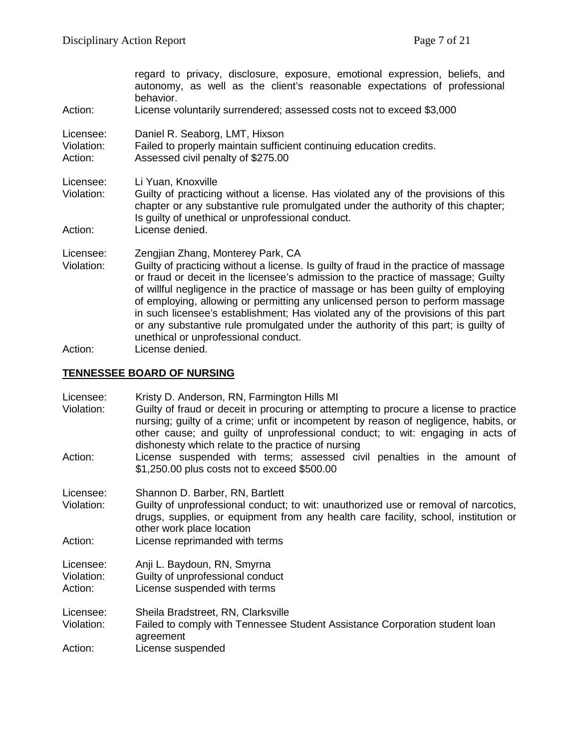| regard to privacy, disclosure, exposure, emotional expression, beliefs, and<br>autonomy, as well as the client's reasonable expectations of professional<br>behavior.<br>License voluntarily surrendered; assessed costs not to exceed \$3,000                                                                                                                                                                                                                                                                                                                                                                            |  |
|---------------------------------------------------------------------------------------------------------------------------------------------------------------------------------------------------------------------------------------------------------------------------------------------------------------------------------------------------------------------------------------------------------------------------------------------------------------------------------------------------------------------------------------------------------------------------------------------------------------------------|--|
| Daniel R. Seaborg, LMT, Hixson<br>Failed to properly maintain sufficient continuing education credits.<br>Assessed civil penalty of \$275.00                                                                                                                                                                                                                                                                                                                                                                                                                                                                              |  |
| Li Yuan, Knoxville<br>Guilty of practicing without a license. Has violated any of the provisions of this<br>chapter or any substantive rule promulgated under the authority of this chapter;<br>Is guilty of unethical or unprofessional conduct.<br>License denied.                                                                                                                                                                                                                                                                                                                                                      |  |
| Zengjian Zhang, Monterey Park, CA<br>Guilty of practicing without a license. Is guilty of fraud in the practice of massage<br>or fraud or deceit in the licensee's admission to the practice of massage; Guilty<br>of willful negligence in the practice of massage or has been guilty of employing<br>of employing, allowing or permitting any unlicensed person to perform massage<br>in such licensee's establishment; Has violated any of the provisions of this part<br>or any substantive rule promulgated under the authority of this part; is guilty of<br>unethical or unprofessional conduct.<br>Lioppeo doniad |  |
|                                                                                                                                                                                                                                                                                                                                                                                                                                                                                                                                                                                                                           |  |

Action: License denied.

# **TENNESSEE BOARD OF NURSING**

| Licensee:<br>Violation:            | Kristy D. Anderson, RN, Farmington Hills MI<br>Guilty of fraud or deceit in procuring or attempting to procure a license to practice<br>nursing; guilty of a crime; unfit or incompetent by reason of negligence, habits, or<br>other cause; and guilty of unprofessional conduct; to wit: engaging in acts of<br>dishonesty which relate to the practice of nursing |
|------------------------------------|----------------------------------------------------------------------------------------------------------------------------------------------------------------------------------------------------------------------------------------------------------------------------------------------------------------------------------------------------------------------|
| Action:                            | License suspended with terms; assessed civil penalties in the amount of<br>\$1,250.00 plus costs not to exceed \$500.00                                                                                                                                                                                                                                              |
| Licensee:<br>Violation:            | Shannon D. Barber, RN, Bartlett<br>Guilty of unprofessional conduct; to wit: unauthorized use or removal of narcotics,<br>drugs, supplies, or equipment from any health care facility, school, institution or<br>other work place location                                                                                                                           |
| Action:                            | License reprimanded with terms                                                                                                                                                                                                                                                                                                                                       |
| Licensee:<br>Violation:<br>Action: | Anji L. Baydoun, RN, Smyrna<br>Guilty of unprofessional conduct<br>License suspended with terms                                                                                                                                                                                                                                                                      |
| Licensee:<br>Violation:<br>Action: | Sheila Bradstreet, RN, Clarksville<br>Failed to comply with Tennessee Student Assistance Corporation student loan<br>agreement<br>License suspended                                                                                                                                                                                                                  |
|                                    |                                                                                                                                                                                                                                                                                                                                                                      |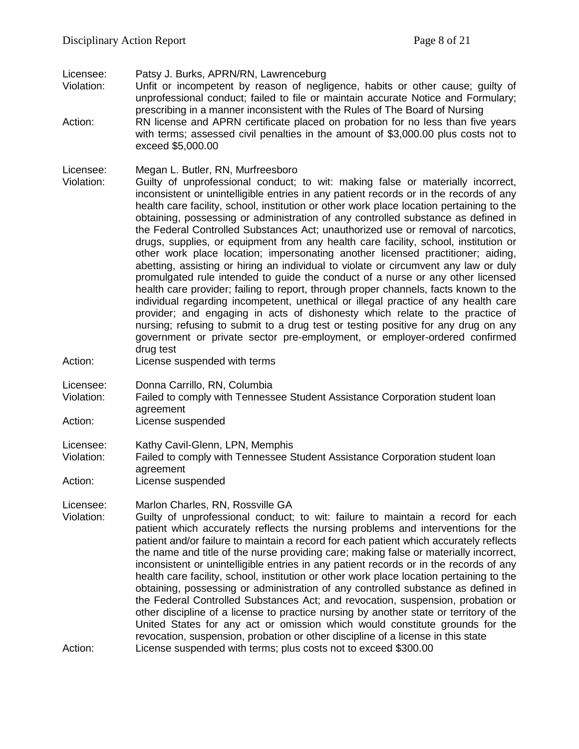Licensee: Patsy J. Burks, APRN/RN, Lawrenceburg

Violation: Unfit or incompetent by reason of negligence, habits or other cause; guilty of unprofessional conduct; failed to file or maintain accurate Notice and Formulary; prescribing in a manner inconsistent with the Rules of The Board of Nursing

Action: RN license and APRN certificate placed on probation for no less than five years with terms; assessed civil penalties in the amount of \$3,000.00 plus costs not to exceed \$5,000.00

Licensee: Megan L. Butler, RN, Murfreesboro

- Violation: Guilty of unprofessional conduct; to wit: making false or materially incorrect, inconsistent or unintelligible entries in any patient records or in the records of any health care facility, school, institution or other work place location pertaining to the obtaining, possessing or administration of any controlled substance as defined in the Federal Controlled Substances Act; unauthorized use or removal of narcotics, drugs, supplies, or equipment from any health care facility, school, institution or other work place location; impersonating another licensed practitioner; aiding, abetting, assisting or hiring an individual to violate or circumvent any law or duly promulgated rule intended to guide the conduct of a nurse or any other licensed health care provider; failing to report, through proper channels, facts known to the individual regarding incompetent, unethical or illegal practice of any health care provider; and engaging in acts of dishonesty which relate to the practice of nursing; refusing to submit to a drug test or testing positive for any drug on any government or private sector pre-employment, or employer-ordered confirmed drug test
- Action: License suspended with terms
- Licensee: Donna Carrillo, RN, Columbia
- Violation: Failed to comply with Tennessee Student Assistance Corporation student loan agreement
- Action: License suspended

Licensee: Kathy Cavil-Glenn, LPN, Memphis

- Violation: Failed to comply with Tennessee Student Assistance Corporation student loan agreement
- Action: License suspended

Licensee: Marlon Charles, RN, Rossville GA

Violation: Guilty of unprofessional conduct; to wit: failure to maintain a record for each patient which accurately reflects the nursing problems and interventions for the patient and/or failure to maintain a record for each patient which accurately reflects the name and title of the nurse providing care; making false or materially incorrect, inconsistent or unintelligible entries in any patient records or in the records of any health care facility, school, institution or other work place location pertaining to the obtaining, possessing or administration of any controlled substance as defined in the Federal Controlled Substances Act; and revocation, suspension, probation or other discipline of a license to practice nursing by another state or territory of the United States for any act or omission which would constitute grounds for the revocation, suspension, probation or other discipline of a license in this state Action: License suspended with terms; plus costs not to exceed \$300.00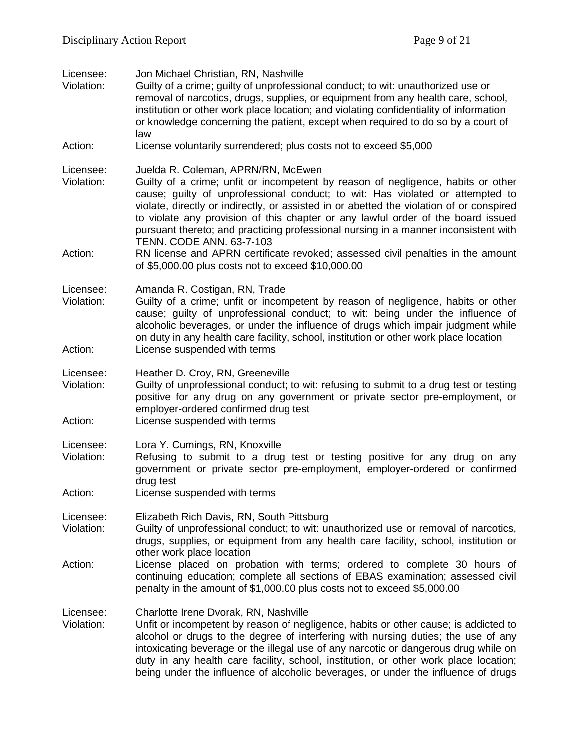| Licensee:<br>Violation:            | Jon Michael Christian, RN, Nashville<br>Guilty of a crime; guilty of unprofessional conduct; to wit: unauthorized use or<br>removal of narcotics, drugs, supplies, or equipment from any health care, school,<br>institution or other work place location; and violating confidentiality of information<br>or knowledge concerning the patient, except when required to do so by a court of<br>law                                                                                                                |
|------------------------------------|-------------------------------------------------------------------------------------------------------------------------------------------------------------------------------------------------------------------------------------------------------------------------------------------------------------------------------------------------------------------------------------------------------------------------------------------------------------------------------------------------------------------|
| Action:                            | License voluntarily surrendered; plus costs not to exceed \$5,000                                                                                                                                                                                                                                                                                                                                                                                                                                                 |
| Licensee:<br>Violation:            | Juelda R. Coleman, APRN/RN, McEwen<br>Guilty of a crime; unfit or incompetent by reason of negligence, habits or other<br>cause; guilty of unprofessional conduct; to wit: Has violated or attempted to<br>violate, directly or indirectly, or assisted in or abetted the violation of or conspired<br>to violate any provision of this chapter or any lawful order of the board issued<br>pursuant thereto; and practicing professional nursing in a manner inconsistent with<br><b>TENN. CODE ANN. 63-7-103</b> |
| Action:                            | RN license and APRN certificate revoked; assessed civil penalties in the amount<br>of \$5,000.00 plus costs not to exceed \$10,000.00                                                                                                                                                                                                                                                                                                                                                                             |
| Licensee:<br>Violation:<br>Action: | Amanda R. Costigan, RN, Trade<br>Guilty of a crime; unfit or incompetent by reason of negligence, habits or other<br>cause; guilty of unprofessional conduct; to wit: being under the influence of<br>alcoholic beverages, or under the influence of drugs which impair judgment while<br>on duty in any health care facility, school, institution or other work place location<br>License suspended with terms                                                                                                   |
| Licensee:                          | Heather D. Croy, RN, Greeneville                                                                                                                                                                                                                                                                                                                                                                                                                                                                                  |
| Violation:<br>Action:              | Guilty of unprofessional conduct; to wit: refusing to submit to a drug test or testing<br>positive for any drug on any government or private sector pre-employment, or<br>employer-ordered confirmed drug test<br>License suspended with terms                                                                                                                                                                                                                                                                    |
|                                    |                                                                                                                                                                                                                                                                                                                                                                                                                                                                                                                   |
| Licensee:<br>Violation:            | Lora Y. Cumings, RN, Knoxville<br>Refusing to submit to a drug test or testing positive for any drug on any<br>government or private sector pre-employment, employer-ordered or confirmed<br>drug test                                                                                                                                                                                                                                                                                                            |
| Action:                            | License suspended with terms                                                                                                                                                                                                                                                                                                                                                                                                                                                                                      |
| Licensee:<br>Violation:            | Elizabeth Rich Davis, RN, South Pittsburg<br>Guilty of unprofessional conduct; to wit: unauthorized use or removal of narcotics,<br>drugs, supplies, or equipment from any health care facility, school, institution or<br>other work place location                                                                                                                                                                                                                                                              |
| Action:                            | License placed on probation with terms; ordered to complete 30 hours of<br>continuing education; complete all sections of EBAS examination; assessed civil<br>penalty in the amount of \$1,000.00 plus costs not to exceed \$5,000.00                                                                                                                                                                                                                                                                             |
| Licensee:<br>Violation:            | Charlotte Irene Dvorak, RN, Nashville<br>Unfit or incompetent by reason of negligence, habits or other cause; is addicted to<br>alcohol or drugs to the degree of interfering with nursing duties; the use of any<br>intoxicating beverage or the illegal use of any narcotic or dangerous drug while on<br>duty in any health care facility, school, institution, or other work place location;<br>being under the influence of alcoholic beverages, or under the influence of drugs                             |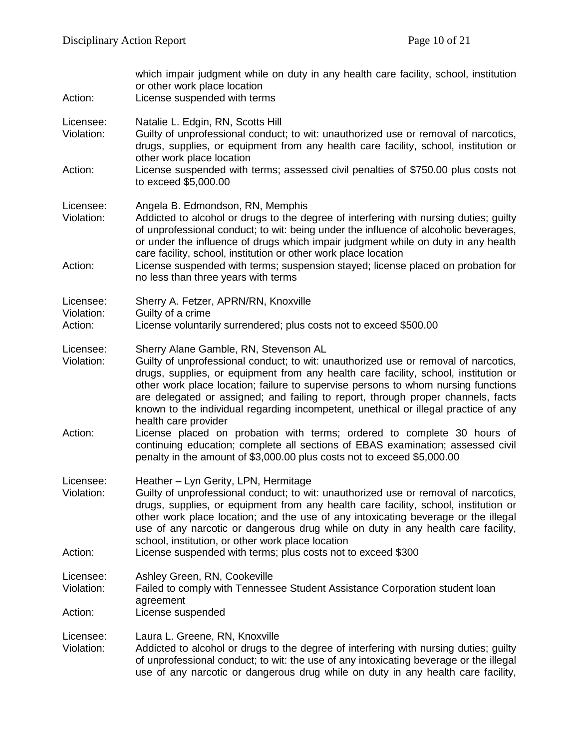| Action:                            | which impair judgment while on duty in any health care facility, school, institution<br>or other work place location<br>License suspended with terms                                                                                                                                                                                                                                                                                                                                |
|------------------------------------|-------------------------------------------------------------------------------------------------------------------------------------------------------------------------------------------------------------------------------------------------------------------------------------------------------------------------------------------------------------------------------------------------------------------------------------------------------------------------------------|
| Licensee:<br>Violation:            | Natalie L. Edgin, RN, Scotts Hill<br>Guilty of unprofessional conduct; to wit: unauthorized use or removal of narcotics,<br>drugs, supplies, or equipment from any health care facility, school, institution or<br>other work place location                                                                                                                                                                                                                                        |
| Action:                            | License suspended with terms; assessed civil penalties of \$750.00 plus costs not<br>to exceed \$5,000.00                                                                                                                                                                                                                                                                                                                                                                           |
| Licensee:<br>Violation:            | Angela B. Edmondson, RN, Memphis<br>Addicted to alcohol or drugs to the degree of interfering with nursing duties; guilty<br>of unprofessional conduct; to wit: being under the influence of alcoholic beverages,<br>or under the influence of drugs which impair judgment while on duty in any health<br>care facility, school, institution or other work place location                                                                                                           |
| Action:                            | License suspended with terms; suspension stayed; license placed on probation for<br>no less than three years with terms                                                                                                                                                                                                                                                                                                                                                             |
| Licensee:<br>Violation:<br>Action: | Sherry A. Fetzer, APRN/RN, Knoxville<br>Guilty of a crime<br>License voluntarily surrendered; plus costs not to exceed \$500.00                                                                                                                                                                                                                                                                                                                                                     |
|                                    |                                                                                                                                                                                                                                                                                                                                                                                                                                                                                     |
| Licensee:<br>Violation:            | Sherry Alane Gamble, RN, Stevenson AL<br>Guilty of unprofessional conduct; to wit: unauthorized use or removal of narcotics,<br>drugs, supplies, or equipment from any health care facility, school, institution or<br>other work place location; failure to supervise persons to whom nursing functions<br>are delegated or assigned; and failing to report, through proper channels, facts<br>known to the individual regarding incompetent, unethical or illegal practice of any |
| Action:                            | health care provider<br>License placed on probation with terms; ordered to complete 30 hours of<br>continuing education; complete all sections of EBAS examination; assessed civil<br>penalty in the amount of \$3,000.00 plus costs not to exceed \$5,000.00                                                                                                                                                                                                                       |
| Licensee:<br>Violation:            | Heather - Lyn Gerity, LPN, Hermitage<br>Guilty of unprofessional conduct; to wit: unauthorized use or removal of narcotics,<br>drugs, supplies, or equipment from any health care facility, school, institution or<br>other work place location; and the use of any intoxicating beverage or the illegal<br>use of any narcotic or dangerous drug while on duty in any health care facility,<br>school, institution, or other work place location                                   |
| Action:                            | License suspended with terms; plus costs not to exceed \$300                                                                                                                                                                                                                                                                                                                                                                                                                        |
| Licensee:<br>Violation:            | Ashley Green, RN, Cookeville<br>Failed to comply with Tennessee Student Assistance Corporation student loan<br>agreement                                                                                                                                                                                                                                                                                                                                                            |
| Action:                            | License suspended                                                                                                                                                                                                                                                                                                                                                                                                                                                                   |
| Licensee:<br>Violation:            | Laura L. Greene, RN, Knoxville<br>Addicted to alcohol or drugs to the degree of interfering with nursing duties; guilty<br>of unprofessional conduct; to wit: the use of any intoxicating beverage or the illegal<br>use of any narcotic or dangerous drug while on duty in any health care facility,                                                                                                                                                                               |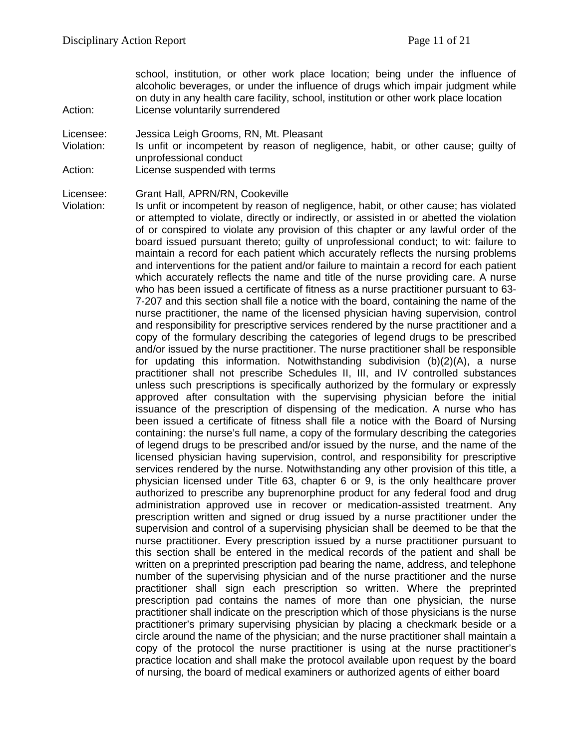school, institution, or other work place location; being under the influence of alcoholic beverages, or under the influence of drugs which impair judgment while on duty in any health care facility, school, institution or other work place location Action: License voluntarily surrendered

Licensee: Jessica Leigh Grooms, RN, Mt. Pleasant

Violation: Is unfit or incompetent by reason of negligence, habit, or other cause; guilty of unprofessional conduct

Action: License suspended with terms

Licensee: Grant Hall, APRN/RN, Cookeville

Violation: Is unfit or incompetent by reason of negligence, habit, or other cause; has violated or attempted to violate, directly or indirectly, or assisted in or abetted the violation of or conspired to violate any provision of this chapter or any lawful order of the board issued pursuant thereto; guilty of unprofessional conduct; to wit: failure to maintain a record for each patient which accurately reflects the nursing problems and interventions for the patient and/or failure to maintain a record for each patient which accurately reflects the name and title of the nurse providing care. A nurse who has been issued a certificate of fitness as a nurse practitioner pursuant to 63- 7-207 and this section shall file a notice with the board, containing the name of the nurse practitioner, the name of the licensed physician having supervision, control and responsibility for prescriptive services rendered by the nurse practitioner and a copy of the formulary describing the categories of legend drugs to be prescribed and/or issued by the nurse practitioner. The nurse practitioner shall be responsible for updating this information. Notwithstanding subdivision (b)(2)(A), a nurse practitioner shall not prescribe Schedules II, III, and IV controlled substances unless such prescriptions is specifically authorized by the formulary or expressly approved after consultation with the supervising physician before the initial issuance of the prescription of dispensing of the medication. A nurse who has been issued a certificate of fitness shall file a notice with the Board of Nursing containing: the nurse's full name, a copy of the formulary describing the categories of legend drugs to be prescribed and/or issued by the nurse, and the name of the licensed physician having supervision, control, and responsibility for prescriptive services rendered by the nurse. Notwithstanding any other provision of this title, a physician licensed under Title 63, chapter 6 or 9, is the only healthcare prover authorized to prescribe any buprenorphine product for any federal food and drug administration approved use in recover or medication-assisted treatment. Any prescription written and signed or drug issued by a nurse practitioner under the supervision and control of a supervising physician shall be deemed to be that the nurse practitioner. Every prescription issued by a nurse practitioner pursuant to this section shall be entered in the medical records of the patient and shall be written on a preprinted prescription pad bearing the name, address, and telephone number of the supervising physician and of the nurse practitioner and the nurse practitioner shall sign each prescription so written. Where the preprinted prescription pad contains the names of more than one physician, the nurse practitioner shall indicate on the prescription which of those physicians is the nurse practitioner's primary supervising physician by placing a checkmark beside or a circle around the name of the physician; and the nurse practitioner shall maintain a copy of the protocol the nurse practitioner is using at the nurse practitioner's practice location and shall make the protocol available upon request by the board of nursing, the board of medical examiners or authorized agents of either board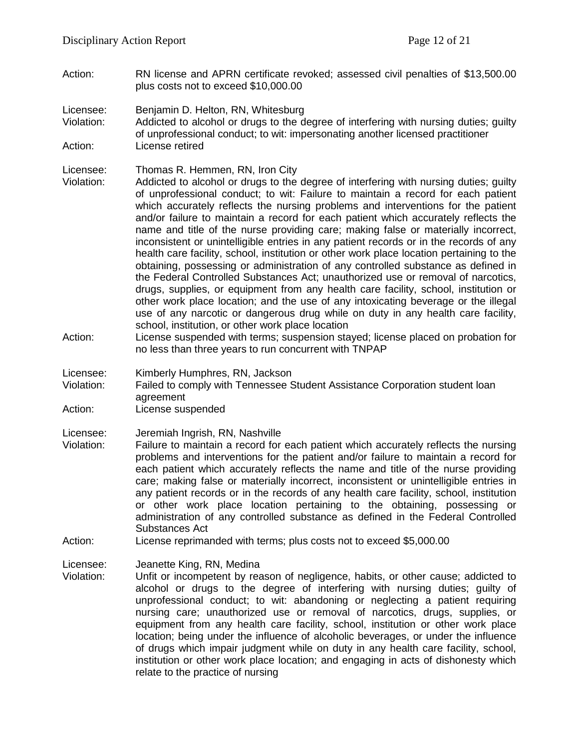Action: RN license and APRN certificate revoked; assessed civil penalties of \$13,500.00 plus costs not to exceed \$10,000.00

Licensee: Benjamin D. Helton, RN, Whitesburg

Violation: Addicted to alcohol or drugs to the degree of interfering with nursing duties; guilty of unprofessional conduct; to wit: impersonating another licensed practitioner Action: License retired

- Licensee: Thomas R. Hemmen, RN, Iron City
- Violation: Addicted to alcohol or drugs to the degree of interfering with nursing duties; guilty of unprofessional conduct; to wit: Failure to maintain a record for each patient which accurately reflects the nursing problems and interventions for the patient and/or failure to maintain a record for each patient which accurately reflects the name and title of the nurse providing care; making false or materially incorrect, inconsistent or unintelligible entries in any patient records or in the records of any health care facility, school, institution or other work place location pertaining to the obtaining, possessing or administration of any controlled substance as defined in the Federal Controlled Substances Act; unauthorized use or removal of narcotics, drugs, supplies, or equipment from any health care facility, school, institution or other work place location; and the use of any intoxicating beverage or the illegal use of any narcotic or dangerous drug while on duty in any health care facility, school, institution, or other work place location
- Action: License suspended with terms; suspension stayed; license placed on probation for no less than three years to run concurrent with TNPAP
- Licensee: Kimberly Humphres, RN, Jackson
- Violation: Failed to comply with Tennessee Student Assistance Corporation student loan agreement
- Action: License suspended

Licensee: Jeremiah Ingrish, RN, Nashville

- Violation: Failure to maintain a record for each patient which accurately reflects the nursing problems and interventions for the patient and/or failure to maintain a record for each patient which accurately reflects the name and title of the nurse providing care; making false or materially incorrect, inconsistent or unintelligible entries in any patient records or in the records of any health care facility, school, institution or other work place location pertaining to the obtaining, possessing or administration of any controlled substance as defined in the Federal Controlled Substances Act
- Action: License reprimanded with terms; plus costs not to exceed \$5,000.00
- Licensee: Jeanette King, RN, Medina
- Violation: Unfit or incompetent by reason of negligence, habits, or other cause; addicted to alcohol or drugs to the degree of interfering with nursing duties; guilty of unprofessional conduct; to wit: abandoning or neglecting a patient requiring nursing care; unauthorized use or removal of narcotics, drugs, supplies, or equipment from any health care facility, school, institution or other work place location; being under the influence of alcoholic beverages, or under the influence of drugs which impair judgment while on duty in any health care facility, school, institution or other work place location; and engaging in acts of dishonesty which relate to the practice of nursing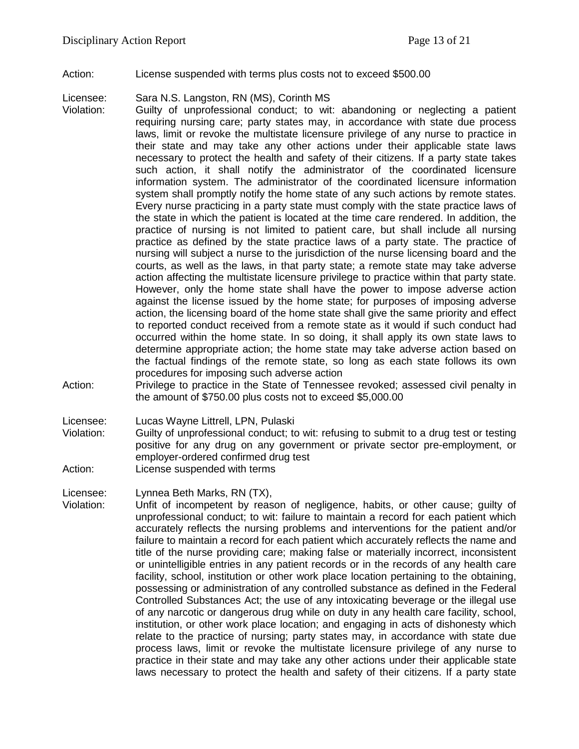Action: License suspended with terms plus costs not to exceed \$500.00

Licensee: Sara N.S. Langston, RN (MS), Corinth MS

- Violation: Guilty of unprofessional conduct; to wit: abandoning or neglecting a patient requiring nursing care; party states may, in accordance with state due process laws, limit or revoke the multistate licensure privilege of any nurse to practice in their state and may take any other actions under their applicable state laws necessary to protect the health and safety of their citizens. If a party state takes such action, it shall notify the administrator of the coordinated licensure information system. The administrator of the coordinated licensure information system shall promptly notify the home state of any such actions by remote states. Every nurse practicing in a party state must comply with the state practice laws of the state in which the patient is located at the time care rendered. In addition, the practice of nursing is not limited to patient care, but shall include all nursing practice as defined by the state practice laws of a party state. The practice of nursing will subject a nurse to the jurisdiction of the nurse licensing board and the courts, as well as the laws, in that party state; a remote state may take adverse action affecting the multistate licensure privilege to practice within that party state. However, only the home state shall have the power to impose adverse action against the license issued by the home state; for purposes of imposing adverse action, the licensing board of the home state shall give the same priority and effect to reported conduct received from a remote state as it would if such conduct had occurred within the home state. In so doing, it shall apply its own state laws to determine appropriate action; the home state may take adverse action based on the factual findings of the remote state, so long as each state follows its own procedures for imposing such adverse action
- Action: Privilege to practice in the State of Tennessee revoked; assessed civil penalty in the amount of \$750.00 plus costs not to exceed \$5,000.00

Licensee: Lucas Wayne Littrell, LPN, Pulaski

Violation: Guilty of unprofessional conduct; to wit: refusing to submit to a drug test or testing positive for any drug on any government or private sector pre-employment, or employer-ordered confirmed drug test Action: License suspended with terms

Licensee: Lynnea Beth Marks, RN (TX),

Violation: Unfit of incompetent by reason of negligence, habits, or other cause; guilty of unprofessional conduct; to wit: failure to maintain a record for each patient which accurately reflects the nursing problems and interventions for the patient and/or failure to maintain a record for each patient which accurately reflects the name and title of the nurse providing care; making false or materially incorrect, inconsistent or unintelligible entries in any patient records or in the records of any health care facility, school, institution or other work place location pertaining to the obtaining, possessing or administration of any controlled substance as defined in the Federal Controlled Substances Act; the use of any intoxicating beverage or the illegal use of any narcotic or dangerous drug while on duty in any health care facility, school, institution, or other work place location; and engaging in acts of dishonesty which relate to the practice of nursing; party states may, in accordance with state due process laws, limit or revoke the multistate licensure privilege of any nurse to practice in their state and may take any other actions under their applicable state laws necessary to protect the health and safety of their citizens. If a party state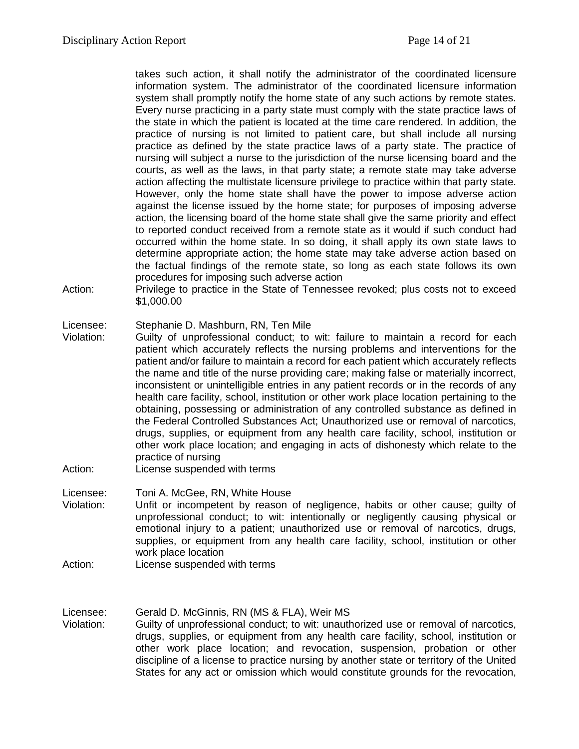takes such action, it shall notify the administrator of the coordinated licensure information system. The administrator of the coordinated licensure information system shall promptly notify the home state of any such actions by remote states. Every nurse practicing in a party state must comply with the state practice laws of the state in which the patient is located at the time care rendered. In addition, the practice of nursing is not limited to patient care, but shall include all nursing practice as defined by the state practice laws of a party state. The practice of nursing will subject a nurse to the jurisdiction of the nurse licensing board and the courts, as well as the laws, in that party state; a remote state may take adverse action affecting the multistate licensure privilege to practice within that party state. However, only the home state shall have the power to impose adverse action against the license issued by the home state; for purposes of imposing adverse action, the licensing board of the home state shall give the same priority and effect to reported conduct received from a remote state as it would if such conduct had occurred within the home state. In so doing, it shall apply its own state laws to determine appropriate action; the home state may take adverse action based on the factual findings of the remote state, so long as each state follows its own procedures for imposing such adverse action

Action: Privilege to practice in the State of Tennessee revoked; plus costs not to exceed \$1,000.00

### Licensee: Stephanie D. Mashburn, RN, Ten Mile

- Violation: Guilty of unprofessional conduct; to wit: failure to maintain a record for each patient which accurately reflects the nursing problems and interventions for the patient and/or failure to maintain a record for each patient which accurately reflects the name and title of the nurse providing care; making false or materially incorrect, inconsistent or unintelligible entries in any patient records or in the records of any health care facility, school, institution or other work place location pertaining to the obtaining, possessing or administration of any controlled substance as defined in the Federal Controlled Substances Act; Unauthorized use or removal of narcotics, drugs, supplies, or equipment from any health care facility, school, institution or other work place location; and engaging in acts of dishonesty which relate to the practice of nursing
- Action: License suspended with terms
- Licensee: Toni A. McGee, RN, White House
- Violation: Unfit or incompetent by reason of negligence, habits or other cause; guilty of unprofessional conduct; to wit: intentionally or negligently causing physical or emotional injury to a patient; unauthorized use or removal of narcotics, drugs, supplies, or equipment from any health care facility, school, institution or other work place location
- Action: License suspended with terms

Licensee: Gerald D. McGinnis, RN (MS & FLA), Weir MS

Violation: Guilty of unprofessional conduct; to wit: unauthorized use or removal of narcotics, drugs, supplies, or equipment from any health care facility, school, institution or other work place location; and revocation, suspension, probation or other discipline of a license to practice nursing by another state or territory of the United States for any act or omission which would constitute grounds for the revocation,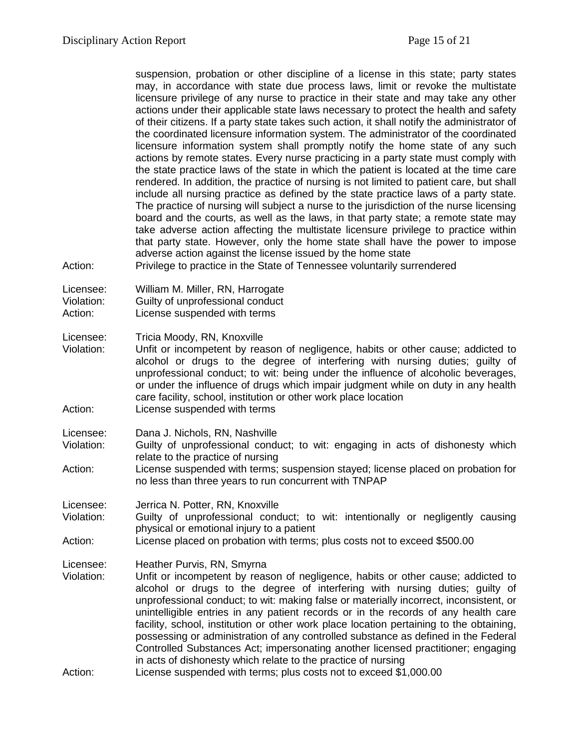suspension, probation or other discipline of a license in this state; party states may, in accordance with state due process laws, limit or revoke the multistate licensure privilege of any nurse to practice in their state and may take any other actions under their applicable state laws necessary to protect the health and safety of their citizens. If a party state takes such action, it shall notify the administrator of the coordinated licensure information system. The administrator of the coordinated licensure information system shall promptly notify the home state of any such actions by remote states. Every nurse practicing in a party state must comply with the state practice laws of the state in which the patient is located at the time care rendered. In addition, the practice of nursing is not limited to patient care, but shall include all nursing practice as defined by the state practice laws of a party state. The practice of nursing will subject a nurse to the jurisdiction of the nurse licensing board and the courts, as well as the laws, in that party state; a remote state may take adverse action affecting the multistate licensure privilege to practice within that party state. However, only the home state shall have the power to impose adverse action against the license issued by the home state

Action: Privilege to practice in the State of Tennessee voluntarily surrendered

Licensee: William M. Miller, RN, Harrogate

Violation: Guilty of unprofessional conduct

Action: License suspended with terms

Licensee: Tricia Moody, RN, Knoxville<br>Violation: Unfit or incompetent by rea

- Unfit or incompetent by reason of negligence, habits or other cause; addicted to alcohol or drugs to the degree of interfering with nursing duties; guilty of unprofessional conduct; to wit: being under the influence of alcoholic beverages, or under the influence of drugs which impair judgment while on duty in any health care facility, school, institution or other work place location Action: License suspended with terms
- Licensee: Dana J. Nichols, RN, Nashville
- Violation: Guilty of unprofessional conduct; to wit: engaging in acts of dishonesty which relate to the practice of nursing
- Action: License suspended with terms; suspension stayed; license placed on probation for no less than three years to run concurrent with TNPAP

Licensee: Jerrica N. Potter, RN, Knoxville

- Violation: Guilty of unprofessional conduct; to wit: intentionally or negligently causing physical or emotional injury to a patient
- Action: License placed on probation with terms; plus costs not to exceed \$500.00
- Licensee: Heather Purvis, RN, Smyrna
- Violation: Unfit or incompetent by reason of negligence, habits or other cause; addicted to alcohol or drugs to the degree of interfering with nursing duties; guilty of unprofessional conduct; to wit: making false or materially incorrect, inconsistent, or unintelligible entries in any patient records or in the records of any health care facility, school, institution or other work place location pertaining to the obtaining, possessing or administration of any controlled substance as defined in the Federal Controlled Substances Act; impersonating another licensed practitioner; engaging in acts of dishonesty which relate to the practice of nursing
- Action: License suspended with terms; plus costs not to exceed \$1,000.00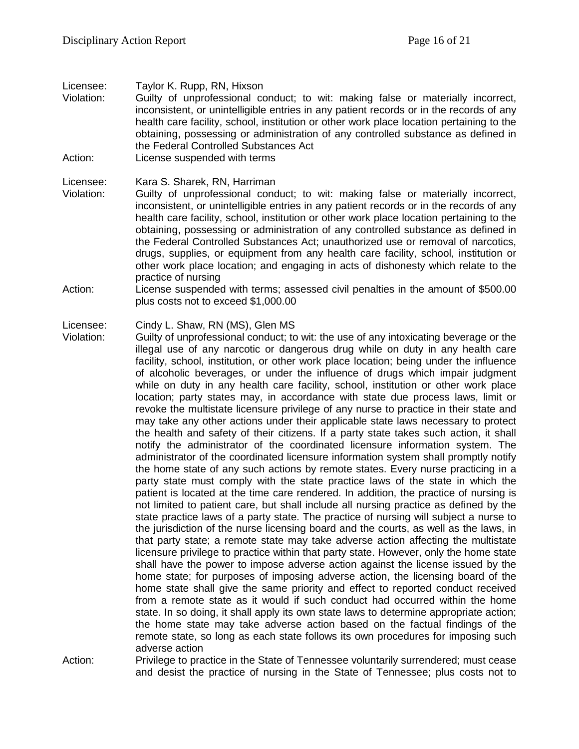### Licensee: Taylor K. Rupp, RN, Hixson

Violation: Guilty of unprofessional conduct; to wit: making false or materially incorrect, inconsistent, or unintelligible entries in any patient records or in the records of any health care facility, school, institution or other work place location pertaining to the obtaining, possessing or administration of any controlled substance as defined in the Federal Controlled Substances Act Action: License suspended with terms

# Licensee: Kara S. Sharek, RN, Harriman

- Violation: Guilty of unprofessional conduct; to wit: making false or materially incorrect, inconsistent, or unintelligible entries in any patient records or in the records of any health care facility, school, institution or other work place location pertaining to the obtaining, possessing or administration of any controlled substance as defined in the Federal Controlled Substances Act; unauthorized use or removal of narcotics, drugs, supplies, or equipment from any health care facility, school, institution or other work place location; and engaging in acts of dishonesty which relate to the practice of nursing
- Action: License suspended with terms; assessed civil penalties in the amount of \$500.00 plus costs not to exceed \$1,000.00

### Licensee: Cindy L. Shaw, RN (MS), Glen MS

Violation: Guilty of unprofessional conduct; to wit: the use of any intoxicating beverage or the illegal use of any narcotic or dangerous drug while on duty in any health care facility, school, institution, or other work place location; being under the influence of alcoholic beverages, or under the influence of drugs which impair judgment while on duty in any health care facility, school, institution or other work place location; party states may, in accordance with state due process laws, limit or revoke the multistate licensure privilege of any nurse to practice in their state and may take any other actions under their applicable state laws necessary to protect the health and safety of their citizens. If a party state takes such action, it shall notify the administrator of the coordinated licensure information system. The administrator of the coordinated licensure information system shall promptly notify the home state of any such actions by remote states. Every nurse practicing in a party state must comply with the state practice laws of the state in which the patient is located at the time care rendered. In addition, the practice of nursing is not limited to patient care, but shall include all nursing practice as defined by the state practice laws of a party state. The practice of nursing will subject a nurse to the jurisdiction of the nurse licensing board and the courts, as well as the laws, in that party state; a remote state may take adverse action affecting the multistate licensure privilege to practice within that party state. However, only the home state shall have the power to impose adverse action against the license issued by the home state; for purposes of imposing adverse action, the licensing board of the home state shall give the same priority and effect to reported conduct received from a remote state as it would if such conduct had occurred within the home state. In so doing, it shall apply its own state laws to determine appropriate action; the home state may take adverse action based on the factual findings of the remote state, so long as each state follows its own procedures for imposing such adverse action

Action: Privilege to practice in the State of Tennessee voluntarily surrendered; must cease and desist the practice of nursing in the State of Tennessee; plus costs not to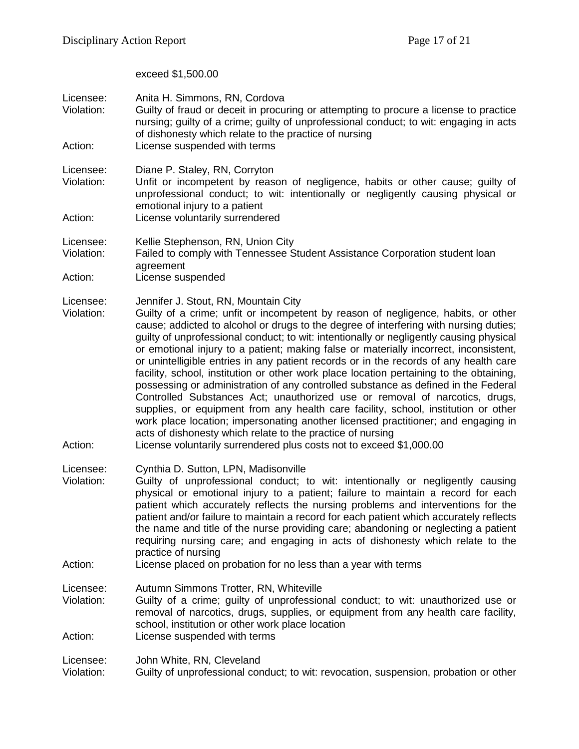exceed \$1,500.00

| Licensee:<br>Violation:            | Anita H. Simmons, RN, Cordova<br>Guilty of fraud or deceit in procuring or attempting to procure a license to practice<br>nursing; guilty of a crime; guilty of unprofessional conduct; to wit: engaging in acts<br>of dishonesty which relate to the practice of nursing                                                                                                                                                                                                                                                                                                                                                                                                                                                                                                                                                                                                                                                                                                                                                                                                       |
|------------------------------------|---------------------------------------------------------------------------------------------------------------------------------------------------------------------------------------------------------------------------------------------------------------------------------------------------------------------------------------------------------------------------------------------------------------------------------------------------------------------------------------------------------------------------------------------------------------------------------------------------------------------------------------------------------------------------------------------------------------------------------------------------------------------------------------------------------------------------------------------------------------------------------------------------------------------------------------------------------------------------------------------------------------------------------------------------------------------------------|
| Action:                            | License suspended with terms                                                                                                                                                                                                                                                                                                                                                                                                                                                                                                                                                                                                                                                                                                                                                                                                                                                                                                                                                                                                                                                    |
| Licensee:<br>Violation:            | Diane P. Staley, RN, Corryton<br>Unfit or incompetent by reason of negligence, habits or other cause; guilty of<br>unprofessional conduct; to wit: intentionally or negligently causing physical or<br>emotional injury to a patient                                                                                                                                                                                                                                                                                                                                                                                                                                                                                                                                                                                                                                                                                                                                                                                                                                            |
| Action:                            | License voluntarily surrendered                                                                                                                                                                                                                                                                                                                                                                                                                                                                                                                                                                                                                                                                                                                                                                                                                                                                                                                                                                                                                                                 |
| Licensee:<br>Violation:            | Kellie Stephenson, RN, Union City<br>Failed to comply with Tennessee Student Assistance Corporation student loan<br>agreement                                                                                                                                                                                                                                                                                                                                                                                                                                                                                                                                                                                                                                                                                                                                                                                                                                                                                                                                                   |
| Action:                            | License suspended                                                                                                                                                                                                                                                                                                                                                                                                                                                                                                                                                                                                                                                                                                                                                                                                                                                                                                                                                                                                                                                               |
| Licensee:<br>Violation:<br>Action: | Jennifer J. Stout, RN, Mountain City<br>Guilty of a crime; unfit or incompetent by reason of negligence, habits, or other<br>cause; addicted to alcohol or drugs to the degree of interfering with nursing duties;<br>guilty of unprofessional conduct; to wit: intentionally or negligently causing physical<br>or emotional injury to a patient; making false or materially incorrect, inconsistent,<br>or unintelligible entries in any patient records or in the records of any health care<br>facility, school, institution or other work place location pertaining to the obtaining,<br>possessing or administration of any controlled substance as defined in the Federal<br>Controlled Substances Act; unauthorized use or removal of narcotics, drugs,<br>supplies, or equipment from any health care facility, school, institution or other<br>work place location; impersonating another licensed practitioner; and engaging in<br>acts of dishonesty which relate to the practice of nursing<br>License voluntarily surrendered plus costs not to exceed \$1,000.00 |
| Licensee:<br>Violation:            | Cynthia D. Sutton, LPN, Madisonville<br>Guilty of unprofessional conduct; to wit: intentionally or negligently causing<br>physical or emotional injury to a patient; failure to maintain a record for each<br>patient which accurately reflects the nursing problems and interventions for the<br>patient and/or failure to maintain a record for each patient which accurately reflects<br>the name and title of the nurse providing care; abandoning or neglecting a patient<br>requiring nursing care; and engaging in acts of dishonesty which relate to the<br>practice of nursing                                                                                                                                                                                                                                                                                                                                                                                                                                                                                         |
| Action:                            | License placed on probation for no less than a year with terms                                                                                                                                                                                                                                                                                                                                                                                                                                                                                                                                                                                                                                                                                                                                                                                                                                                                                                                                                                                                                  |
| Licensee:<br>Violation:<br>Action: | Autumn Simmons Trotter, RN, Whiteville<br>Guilty of a crime; guilty of unprofessional conduct; to wit: unauthorized use or<br>removal of narcotics, drugs, supplies, or equipment from any health care facility,<br>school, institution or other work place location<br>License suspended with terms                                                                                                                                                                                                                                                                                                                                                                                                                                                                                                                                                                                                                                                                                                                                                                            |
| Licensee:<br>Violation:            | John White, RN, Cleveland<br>Guilty of unprofessional conduct; to wit: revocation, suspension, probation or other                                                                                                                                                                                                                                                                                                                                                                                                                                                                                                                                                                                                                                                                                                                                                                                                                                                                                                                                                               |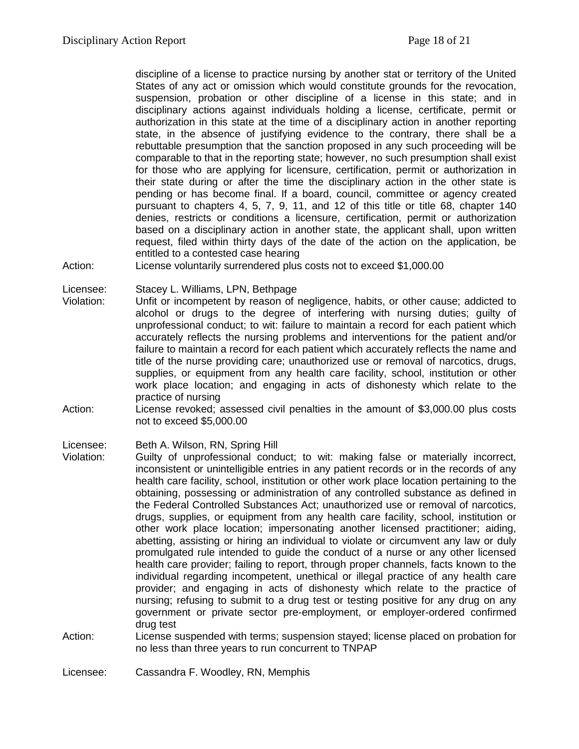discipline of a license to practice nursing by another stat or territory of the United States of any act or omission which would constitute grounds for the revocation, suspension, probation or other discipline of a license in this state; and in disciplinary actions against individuals holding a license, certificate, permit or authorization in this state at the time of a disciplinary action in another reporting state, in the absence of justifying evidence to the contrary, there shall be a rebuttable presumption that the sanction proposed in any such proceeding will be comparable to that in the reporting state; however, no such presumption shall exist for those who are applying for licensure, certification, permit or authorization in their state during or after the time the disciplinary action in the other state is pending or has become final. If a board, council, committee or agency created pursuant to chapters 4, 5, 7, 9, 11, and 12 of this title or title 68, chapter 140 denies, restricts or conditions a licensure, certification, permit or authorization based on a disciplinary action in another state, the applicant shall, upon written request, filed within thirty days of the date of the action on the application, be entitled to a contested case hearing

Action: License voluntarily surrendered plus costs not to exceed \$1,000.00

Licensee: Stacey L. Williams, LPN, Bethpage

- Violation: Unfit or incompetent by reason of negligence, habits, or other cause; addicted to alcohol or drugs to the degree of interfering with nursing duties; guilty of unprofessional conduct; to wit: failure to maintain a record for each patient which accurately reflects the nursing problems and interventions for the patient and/or failure to maintain a record for each patient which accurately reflects the name and title of the nurse providing care; unauthorized use or removal of narcotics, drugs, supplies, or equipment from any health care facility, school, institution or other work place location; and engaging in acts of dishonesty which relate to the practice of nursing
- Action: License revoked; assessed civil penalties in the amount of \$3,000.00 plus costs not to exceed \$5,000.00

Licensee: Beth A. Wilson, RN, Spring Hill

- Violation: Guilty of unprofessional conduct; to wit: making false or materially incorrect, inconsistent or unintelligible entries in any patient records or in the records of any health care facility, school, institution or other work place location pertaining to the obtaining, possessing or administration of any controlled substance as defined in the Federal Controlled Substances Act; unauthorized use or removal of narcotics, drugs, supplies, or equipment from any health care facility, school, institution or other work place location; impersonating another licensed practitioner; aiding, abetting, assisting or hiring an individual to violate or circumvent any law or duly promulgated rule intended to guide the conduct of a nurse or any other licensed health care provider; failing to report, through proper channels, facts known to the individual regarding incompetent, unethical or illegal practice of any health care provider; and engaging in acts of dishonesty which relate to the practice of nursing; refusing to submit to a drug test or testing positive for any drug on any government or private sector pre-employment, or employer-ordered confirmed drug test
- Action: License suspended with terms; suspension stayed; license placed on probation for no less than three years to run concurrent to TNPAP
- Licensee: Cassandra F. Woodley, RN, Memphis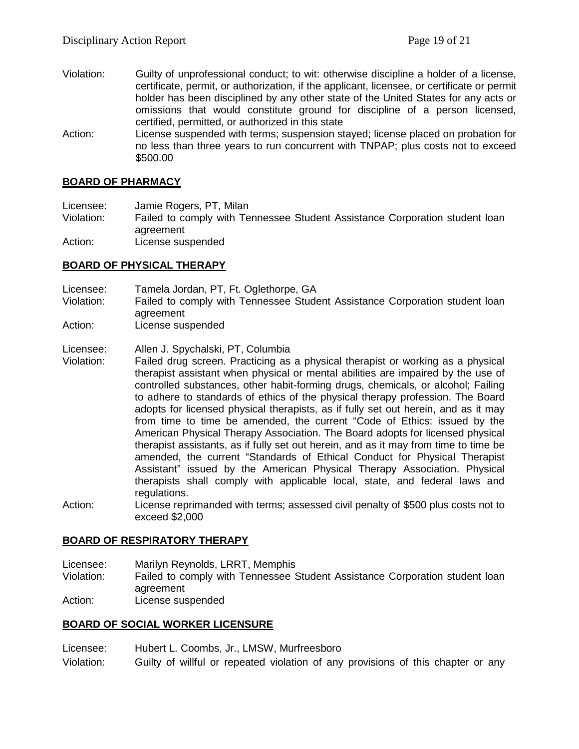- Violation: Guilty of unprofessional conduct; to wit: otherwise discipline a holder of a license, certificate, permit, or authorization, if the applicant, licensee, or certificate or permit holder has been disciplined by any other state of the United States for any acts or omissions that would constitute ground for discipline of a person licensed, certified, permitted, or authorized in this state
- Action: License suspended with terms; suspension stayed; license placed on probation for no less than three years to run concurrent with TNPAP; plus costs not to exceed \$500.00

### **BOARD OF PHARMACY**

Licensee: Jamie Rogers, PT, Milan

Violation: Failed to comply with Tennessee Student Assistance Corporation student loan agreement

Action: License suspended

### **BOARD OF PHYSICAL THERAPY**

Licensee: Tamela Jordan, PT, Ft. Oglethorpe, GA

- Violation: Failed to comply with Tennessee Student Assistance Corporation student loan agreement
- Action: License suspended

### Licensee: Allen J. Spychalski, PT, Columbia

- Violation: Failed drug screen. Practicing as a physical therapist or working as a physical therapist assistant when physical or mental abilities are impaired by the use of controlled substances, other habit-forming drugs, chemicals, or alcohol; Failing to adhere to standards of ethics of the physical therapy profession. The Board adopts for licensed physical therapists, as if fully set out herein, and as it may from time to time be amended, the current "Code of Ethics: issued by the American Physical Therapy Association. The Board adopts for licensed physical therapist assistants, as if fully set out herein, and as it may from time to time be amended, the current "Standards of Ethical Conduct for Physical Therapist Assistant" issued by the American Physical Therapy Association. Physical therapists shall comply with applicable local, state, and federal laws and regulations.
- Action: License reprimanded with terms; assessed civil penalty of \$500 plus costs not to exceed \$2,000

### **BOARD OF RESPIRATORY THERAPY**

Licensee: Marilyn Reynolds, LRRT, Memphis

- Violation: Failed to comply with Tennessee Student Assistance Corporation student loan agreement
- Action: License suspended

### **BOARD OF SOCIAL WORKER LICENSURE**

Licensee: Hubert L. Coombs, Jr., LMSW, Murfreesboro

Violation: Guilty of willful or repeated violation of any provisions of this chapter or any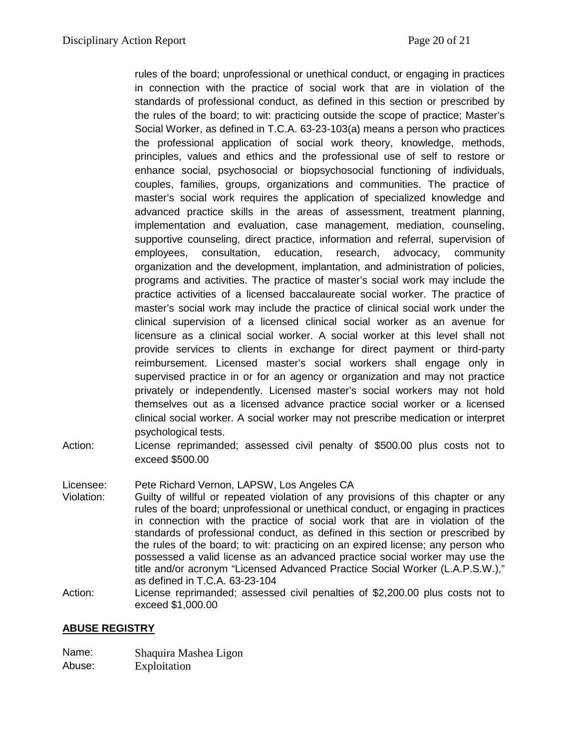rules of the board; unprofessional or unethical conduct, or engaging in practices in connection with the practice of social work that are in violation of the standards of professional conduct, as defined in this section or prescribed by the rules of the board; to wit: practicing outside the scope of practice; Master's Social Worker, as defined in T.C.A. 63-23-103(a) means a person who practices the professional application of social work theory, knowledge, methods, principles, values and ethics and the professional use of self to restore or enhance social, psychosocial or biopsychosocial functioning of individuals, couples, families, groups, organizations and communities. The practice of master's social work requires the application of specialized knowledge and advanced practice skills in the areas of assessment, treatment planning, implementation and evaluation, case management, mediation, counseling, supportive counseling, direct practice, information and referral, supervision of employees, consultation, education, research, advocacy, community organization and the development, implantation, and administration of policies, programs and activities. The practice of master's social work may include the practice activities of a licensed baccalaureate social worker. The practice of master's social work may include the practice of clinical social work under the clinical supervision of a licensed clinical social worker as an avenue for licensure as a clinical social worker. A social worker at this level shall not provide services to clients in exchange for direct payment or third-party reimbursement. Licensed master's social workers shall engage only in supervised practice in or for an agency or organization and may not practice privately or independently. Licensed master's social workers may not hold themselves out as a licensed advance practice social worker or a licensed clinical social worker. A social worker may not prescribe medication or interpret psychological tests.

Action: License reprimanded; assessed civil penalty of \$500.00 plus costs not to exceed \$500.00

Licensee: Pete Richard Vernon, LAPSW, Los Angeles CA

- Violation: Guilty of willful or repeated violation of any provisions of this chapter or any rules of the board; unprofessional or unethical conduct, or engaging in practices in connection with the practice of social work that are in violation of the standards of professional conduct, as defined in this section or prescribed by the rules of the board; to wit: practicing on an expired license; any person who possessed a valid license as an advanced practice social worker may use the title and/or acronym "Licensed Advanced Practice Social Worker (L.A.P.S.W.)," as defined in T.C.A. 63-23-104
- Action: License reprimanded; assessed civil penalties of \$2,200.00 plus costs not to exceed \$1,000.00

# **ABUSE REGISTRY**

- Name: Shaquira Mashea Ligon
- Abuse: Exploitation